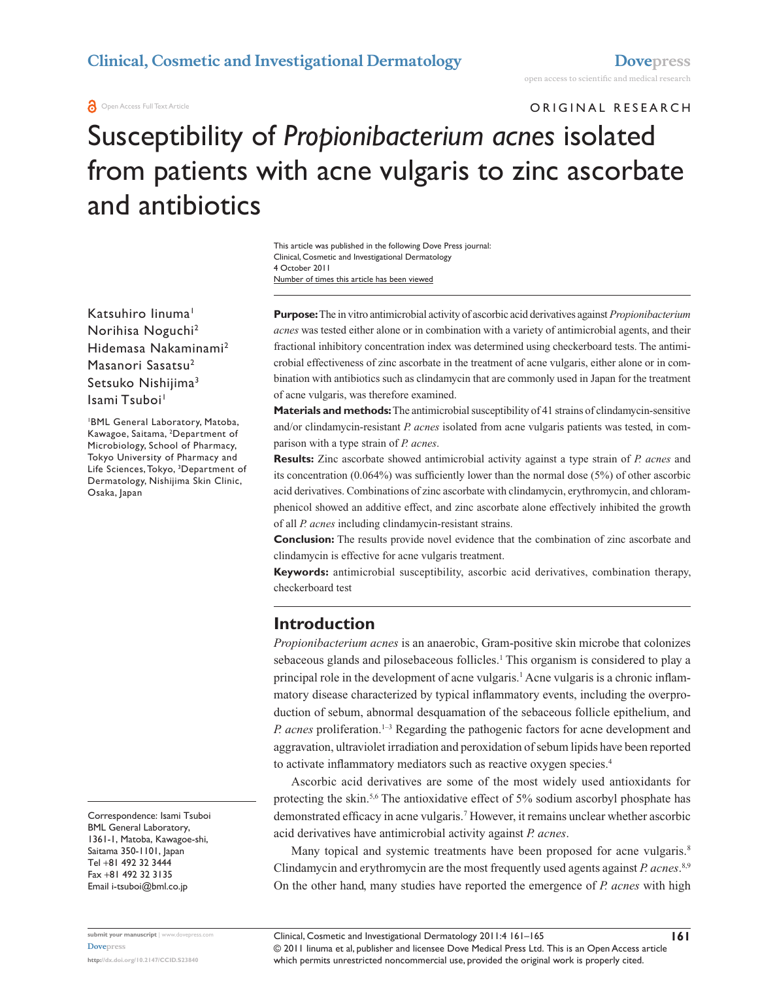#### **O** Open Access Full Text Article

ORIGINAL RESEARCH

# Susceptibility of *Propionibacterium acnes* isolated from patients with acne vulgaris to zinc ascorbate and antibiotics

Number of times this article has been viewed This article was published in the following Dove Press journal: Clinical, Cosmetic and Investigational Dermatology 4 October 2011

Katsuhiro linuma<sup>1</sup> Norihisa Noguchi2 Hidemasa Nakaminami2 Masanori Sasatsu<sup>2</sup> Setsuko Nishijima3 Isami Tsuboi<sup>1</sup>

1 BML General Laboratory, Matoba, Kawagoe, Saitama, 2 Department of Microbiology, School of Pharmacy, Tokyo University of Pharmacy and Life Sciences, Tokyo, 3 Department of Dermatology, Nishijima Skin Clinic, Osaka, Japan

Correspondence: Isami Tsuboi BML General Laboratory, 1361-1, Matoba, Kawagoe-shi, Saitama 350-1101, Japan Tel +81 492 32 3444 Fax +81 492 32 3135 Email [i-tsuboi@bml.co.jp](mailto:i-tsuboi@bml.co.jp)

**Purpose:** The in vitro antimicrobial activity of ascorbic acid derivatives against *Propionibacterium acnes* was tested either alone or in combination with a variety of antimicrobial agents, and their fractional inhibitory concentration index was determined using checkerboard tests. The antimicrobial effectiveness of zinc ascorbate in the treatment of acne vulgaris, either alone or in combination with antibiotics such as clindamycin that are commonly used in Japan for the treatment of acne vulgaris, was therefore examined.

**Materials and methods:** The antimicrobial susceptibility of 41 strains of clindamycin-sensitive and/or clindamycin-resistant *P. acnes* isolated from acne vulgaris patients was tested, in comparison with a type strain of *P. acnes*.

**Results:** Zinc ascorbate showed antimicrobial activity against a type strain of *P. acnes* and its concentration (0.064%) was sufficiently lower than the normal dose (5%) of other ascorbic acid derivatives. Combinations of zinc ascorbate with clindamycin, erythromycin, and chloramphenicol showed an additive effect, and zinc ascorbate alone effectively inhibited the growth of all *P. acnes* including clindamycin-resistant strains.

**Conclusion:** The results provide novel evidence that the combination of zinc ascorbate and clindamycin is effective for acne vulgaris treatment.

**Keywords:** antimicrobial susceptibility, ascorbic acid derivatives, combination therapy, checkerboard test

## **Introduction**

*Propionibacterium acnes* is an anaerobic, Gram-positive skin microbe that colonizes sebaceous glands and pilosebaceous follicles.<sup>1</sup> This organism is considered to play a principal role in the development of acne vulgaris.<sup>1</sup> Acne vulgaris is a chronic inflammatory disease characterized by typical inflammatory events, including the overproduction of sebum, abnormal desquamation of the sebaceous follicle epithelium, and *P. acnes* proliferation.1–3 Regarding the pathogenic factors for acne development and aggravation, ultraviolet irradiation and peroxidation of sebum lipids have been reported to activate inflammatory mediators such as reactive oxygen species.4

Ascorbic acid derivatives are some of the most widely used antioxidants for protecting the skin.5,6 The antioxidative effect of 5% sodium ascorbyl phosphate has demonstrated efficacy in acne vulgaris.7 However, it remains unclear whether ascorbic acid derivatives have antimicrobial activity against *P. acnes*.

Many topical and systemic treatments have been proposed for acne vulgaris.<sup>8</sup> Clindamycin and erythromycin are the most frequently used agents against *P. acnes*. 8,9 On the other hand, many studies have reported the emergence of *P. acnes* with high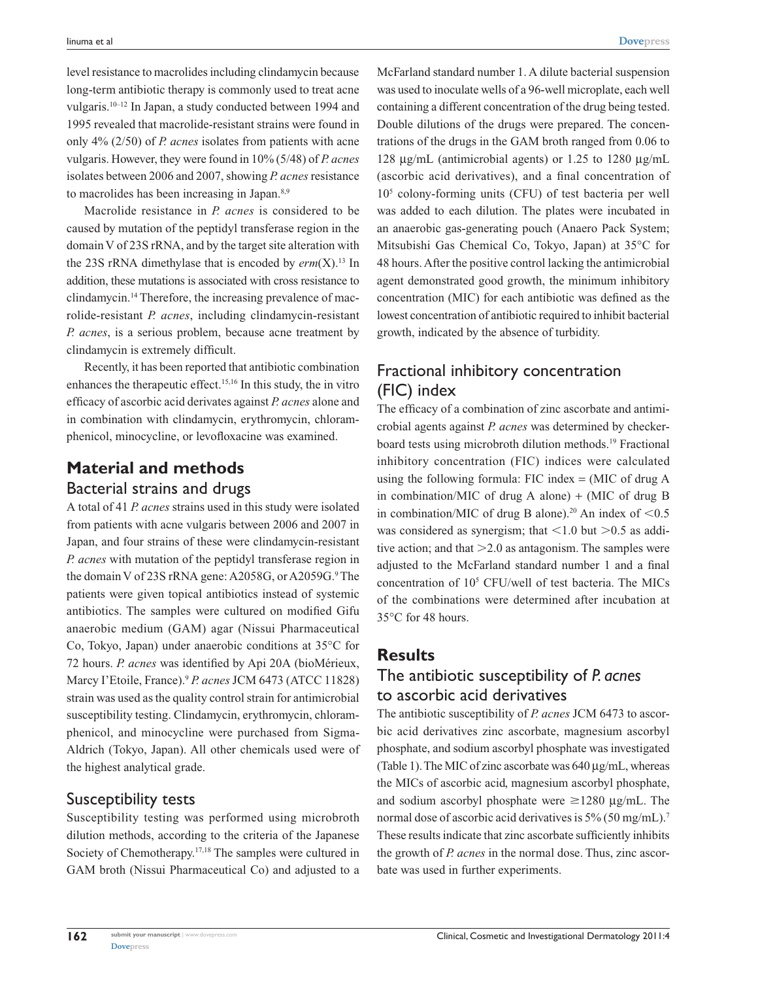level resistance to macrolides including clindamycin because long-term antibiotic therapy is commonly used to treat acne vulgaris.10–12 In Japan, a study conducted between 1994 and 1995 revealed that macrolide-resistant strains were found in only 4% (2/50) of *P. acnes* isolates from patients with acne vulgaris. However, they were found in 10% (5/48) of *P. acnes* isolates between 2006 and 2007, showing *P. acnes* resistance to macrolides has been increasing in Japan.<sup>8,9</sup>

Macrolide resistance in *P. acnes* is considered to be caused by mutation of the peptidyl transferase region in the domain V of 23S rRNA, and by the target site alteration with the 23S rRNA dimethylase that is encoded by *erm*(X).<sup>13</sup> In addition, these mutations is associated with cross resistance to clindamycin.14 Therefore, the increasing prevalence of macrolide-resistant *P. acnes*, including clindamycin-resistant *P. acnes*, is a serious problem, because acne treatment by clindamycin is extremely difficult.

Recently, it has been reported that antibiotic combination enhances the therapeutic effect.15,16 In this study, the in vitro efficacy of ascorbic acid derivates against *P. acnes* alone and in combination with clindamycin, erythromycin, chloramphenicol, minocycline, or levofloxacine was examined.

# **Material and methods**

#### Bacterial strains and drugs

A total of 41 *P. acnes* strains used in this study were isolated from patients with acne vulgaris between 2006 and 2007 in Japan, and four strains of these were clindamycin-resistant *P. acnes* with mutation of the peptidyl transferase region in the domain V of 23S rRNA gene: A2058G, or A2059G.<sup>9</sup> The patients were given topical antibiotics instead of systemic antibiotics. The samples were cultured on modified Gifu anaerobic medium (GAM) agar (Nissui Pharmaceutical Co, Tokyo, Japan) under anaerobic conditions at 35°C for 72 hours. *P. acnes* was identified by Api 20A (bioMérieux, Marcy I'Etoile, France).9 *P. acnes* JCM 6473 (ATCC 11828) strain was used as the quality control strain for antimicrobial susceptibility testing. Clindamycin, erythromycin, chloramphenicol, and minocycline were purchased from Sigma-Aldrich (Tokyo, Japan). All other chemicals used were of the highest analytical grade.

#### Susceptibility tests

Susceptibility testing was performed using microbroth dilution methods, according to the criteria of the Japanese Society of Chemotherapy.17,18 The samples were cultured in GAM broth (Nissui Pharmaceutical Co) and adjusted to a McFarland standard number 1. A dilute bacterial suspension was used to inoculate wells of a 96-well microplate, each well containing a different concentration of the drug being tested. Double dilutions of the drugs were prepared. The concentrations of the drugs in the GAM broth ranged from 0.06 to 128 µg/mL (antimicrobial agents) or 1.25 to 1280 µg/mL (ascorbic acid derivatives), and a final concentration of 105 colony-forming units (CFU) of test bacteria per well was added to each dilution. The plates were incubated in an anaerobic gas-generating pouch (Anaero Pack System; Mitsubishi Gas Chemical Co, Tokyo, Japan) at 35°C for 48 hours. After the positive control lacking the antimicrobial agent demonstrated good growth, the minimum inhibitory concentration (MIC) for each antibiotic was defined as the lowest concentration of antibiotic required to inhibit bacterial growth, indicated by the absence of turbidity.

## Fractional inhibitory concentration (FIC) index

The efficacy of a combination of zinc ascorbate and antimicrobial agents against *P. acnes* was determined by checkerboard tests using microbroth dilution methods.19 Fractional inhibitory concentration (FIC) indices were calculated using the following formula: FIC index  $=$  (MIC of drug A in combination/MIC of drug A alone)  $+$  (MIC of drug B in combination/MIC of drug B alone).<sup>20</sup> An index of  $< 0.5$ was considered as synergism; that  $< 1.0$  but  $> 0.5$  as additive action; and that  $>2.0$  as antagonism. The samples were adjusted to the McFarland standard number 1 and a final concentration of 10<sup>5</sup> CFU/well of test bacteria. The MICs of the combinations were determined after incubation at 35°C for 48 hours.

### **Results**

## The antibiotic susceptibility of *P. acnes* to ascorbic acid derivatives

The antibiotic susceptibility of *P. acnes* JCM 6473 to ascorbic acid derivatives zinc ascorbate, magnesium ascorbyl phosphate, and sodium ascorbyl phosphate was investigated (Table 1). The MIC of zinc ascorbate was 640 µg/mL, whereas the MICs of ascorbic acid, magnesium ascorbyl phosphate, and sodium ascorbyl phosphate were  $\geq$ 1280 µg/mL. The normal dose of ascorbic acid derivatives is 5% (50 mg/mL).<sup>7</sup> These results indicate that zinc ascorbate sufficiently inhibits the growth of *P. acnes* in the normal dose. Thus, zinc ascorbate was used in further experiments.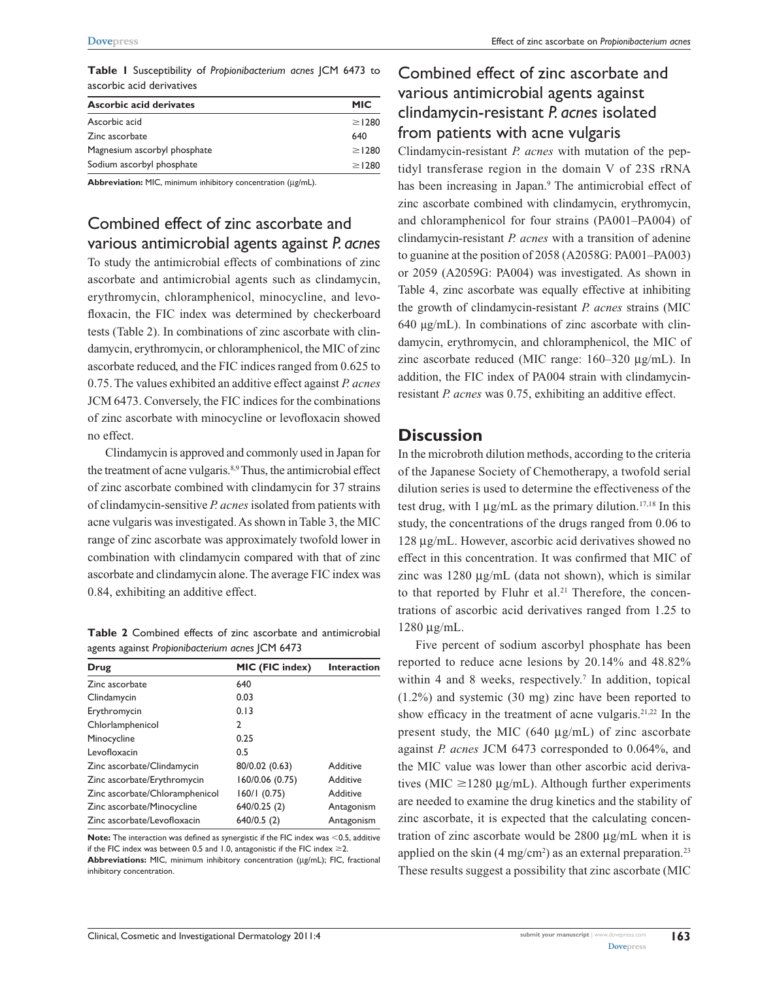**Table 1** Susceptibility of *Propionibacterium acnes* JCM 6473 to ascorbic acid derivatives

| Ascorbic acid derivates      | <b>MIC</b>  |
|------------------------------|-------------|
| Ascorbic acid                | $\geq$ 1280 |
| Zinc ascorbate               | 640         |
| Magnesium ascorbyl phosphate | $\geq$ 1280 |
| Sodium ascorbyl phosphate    | $\geq$ 1280 |

**Abbreviation:** MIC, minimum inhibitory concentration (μg/mL).

## Combined effect of zinc ascorbate and various antimicrobial agents against *P. acnes*

To study the antimicrobial effects of combinations of zinc ascorbate and antimicrobial agents such as clindamycin, erythromycin, chloramphenicol, minocycline, and levofloxacin, the FIC index was determined by checkerboard tests (Table 2). In combinations of zinc ascorbate with clindamycin, erythromycin, or chloramphenicol, the MIC of zinc ascorbate reduced, and the FIC indices ranged from 0.625 to 0.75. The values exhibited an additive effect against *P. acnes* JCM 6473. Conversely, the FIC indices for the combinations of zinc ascorbate with minocycline or levofloxacin showed no effect.

Clindamycin is approved and commonly used in Japan for the treatment of acne vulgaris.<sup>8,9</sup> Thus, the antimicrobial effect of zinc ascorbate combined with clindamycin for 37 strains of clindamycin-sensitive *P. acnes* isolated from patients with acne vulgaris was investigated. As shown in Table 3, the MIC range of zinc ascorbate was approximately twofold lower in combination with clindamycin compared with that of zinc ascorbate and clindamycin alone. The average FIC index was 0.84, exhibiting an additive effect.

**Table 2** Combined effects of zinc ascorbate and antimicrobial agents against *Propionibacterium acnes* JCM 6473

| MIC (FIC index) | <b>Interaction</b> |
|-----------------|--------------------|
| 640             |                    |
| 0.03            |                    |
| 0.13            |                    |
| 2               |                    |
| 0.25            |                    |
| 0.5             |                    |
| 80/0.02 (0.63)  | Additive           |
| 160/0.06 (0.75) | Additive           |
| 160/1(0.75)     | Additive           |
| 640/0.25 (2)    | Antagonism         |
| 640/0.5(2)      | Antagonism         |
|                 |                    |

**Note:** The interaction was defined as synergistic if the FIC index was <0.5, additive if the FIC index was between 0.5 and 1.0, antagonistic if the FIC index  $\geq$ 2. **Abbreviations:** MIC, minimum inhibitory concentration (μg/mL); FIC, fractional inhibitory concentration.

# Combined effect of zinc ascorbate and various antimicrobial agents against clindamycin-resistant *P. acnes* isolated from patients with acne vulgaris

Clindamycin-resistant *P. acnes* with mutation of the peptidyl transferase region in the domain V of 23S rRNA has been increasing in Japan.<sup>9</sup> The antimicrobial effect of zinc ascorbate combined with clindamycin, erythromycin, and chloramphenicol for four strains (PA001–PA004) of clindamycin-resistant *P. acnes* with a transition of adenine to guanine at the position of 2058 (A2058G: PA001–PA003) or 2059 (A2059G: PA004) was investigated. As shown in Table 4, zinc ascorbate was equally effective at inhibiting the growth of clindamycin-resistant *P. acnes* strains (MIC 640 μg/mL). In combinations of zinc ascorbate with clindamycin, erythromycin, and chloramphenicol, the MIC of zinc ascorbate reduced (MIC range: 160–320 µg/mL). In addition, the FIC index of PA004 strain with clindamycinresistant *P. acnes* was 0.75, exhibiting an additive effect.

#### **Discussion**

In the microbroth dilution methods, according to the criteria of the Japanese Society of Chemotherapy, a twofold serial dilution series is used to determine the effectiveness of the test drug, with 1  $\mu$ g/mL as the primary dilution.<sup>17,18</sup> In this study, the concentrations of the drugs ranged from 0.06 to 128 µg/mL. However, ascorbic acid derivatives showed no effect in this concentration. It was confirmed that MIC of zinc was 1280 µg/mL (data not shown), which is similar to that reported by Fluhr et al.<sup>21</sup> Therefore, the concentrations of ascorbic acid derivatives ranged from 1.25 to 1280 µg/mL.

Five percent of sodium ascorbyl phosphate has been reported to reduce acne lesions by 20.14% and 48.82% within 4 and 8 weeks, respectively.<sup>7</sup> In addition, topical (1.2%) and systemic (30 mg) zinc have been reported to show efficacy in the treatment of acne vulgaris.<sup>21,22</sup> In the present study, the MIC (640 µg/mL) of zinc ascorbate against *P. acnes* JCM 6473 corresponded to 0.064%, and the MIC value was lower than other ascorbic acid derivatives (MIC  $\geq$ 1280 µg/mL). Although further experiments are needed to examine the drug kinetics and the stability of zinc ascorbate, it is expected that the calculating concentration of zinc ascorbate would be 2800 µg/mL when it is applied on the skin  $(4 \text{ mg/cm}^2)$  as an external preparation.<sup>23</sup> These results suggest a possibility that zinc ascorbate (MIC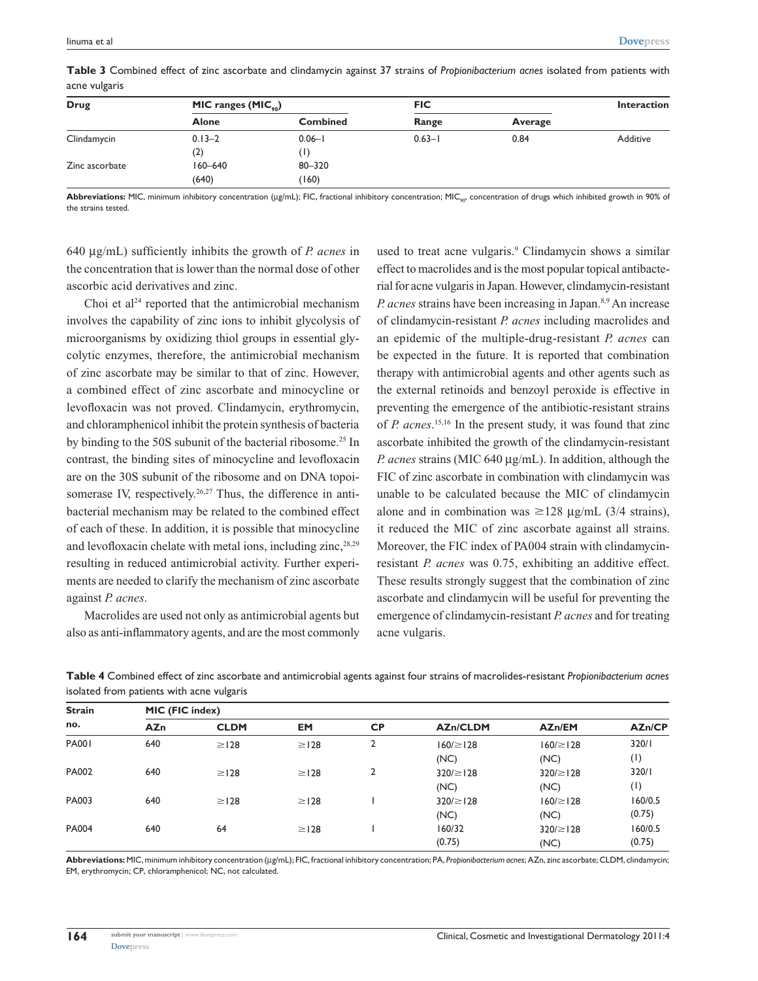| Drug           | MIC ranges $(MIC_{\scriptscriptstyle \diamond 0})$ |                 | <b>FIC</b> |         | <b>Interaction</b> |
|----------------|----------------------------------------------------|-----------------|------------|---------|--------------------|
|                | <b>Alone</b>                                       | <b>Combined</b> | Range      | Average |                    |
| Clindamycin    | $0.13 - 2$                                         | $0.06 - 1$      | $0.63 - 1$ | 0.84    | Additive           |
|                | (2)                                                |                 |            |         |                    |
| Zinc ascorbate | $160 - 640$                                        | 80-320          |            |         |                    |
|                | (640)                                              | (160)           |            |         |                    |

**Table 3** Combined effect of zinc ascorbate and clindamycin against 37 strains of *Propionibacterium acnes* isolated from patients with acne vulgaris

**Abbreviations:** MIC, minimum inhibitory concentration (μg/mL); FIC, fractional inhibitory concentration; MIC<sub>90</sub>, concentration of drugs which inhibited growth in 90% of the strains tested.

640 µg/mL) sufficiently inhibits the growth of *P. acnes* in the concentration that is lower than the normal dose of other ascorbic acid derivatives and zinc.

Choi et al $24$  reported that the antimicrobial mechanism involves the capability of zinc ions to inhibit glycolysis of microorganisms by oxidizing thiol groups in essential glycolytic enzymes, therefore, the antimicrobial mechanism of zinc ascorbate may be similar to that of zinc. However, a combined effect of zinc ascorbate and minocycline or levofloxacin was not proved. Clindamycin, erythromycin, and chloramphenicol inhibit the protein synthesis of bacteria by binding to the 50S subunit of the bacterial ribosome.25 In contrast, the binding sites of minocycline and levofloxacin are on the 30S subunit of the ribosome and on DNA topoisomerase IV, respectively.<sup>26,27</sup> Thus, the difference in antibacterial mechanism may be related to the combined effect of each of these. In addition, it is possible that minocycline and levofloxacin chelate with metal ions, including zinc,<sup>28,29</sup> resulting in reduced antimicrobial activity. Further experiments are needed to clarify the mechanism of zinc ascorbate against *P. acnes*.

Macrolides are used not only as antimicrobial agents but also as anti-inflammatory agents, and are the most commonly

used to treat acne vulgaris.<sup>9</sup> Clindamycin shows a similar effect to macrolides and is the most popular topical antibacterial for acne vulgaris in Japan. However, clindamycin-resistant *P. acnes* strains have been increasing in Japan.<sup>8,9</sup> An increase of clindamycin-resistant *P. acnes* including macrolides and an epidemic of the multiple-drug-resistant *P. acnes* can be expected in the future. It is reported that combination therapy with antimicrobial agents and other agents such as the external retinoids and benzoyl peroxide is effective in preventing the emergence of the antibiotic-resistant strains of *P. acnes*. 15,16 In the present study, it was found that zinc ascorbate inhibited the growth of the clindamycin-resistant *P. acnes* strains (MIC 640 µg/mL). In addition, although the FIC of zinc ascorbate in combination with clindamycin was unable to be calculated because the MIC of clindamycin alone and in combination was  $\geq$ 128 µg/mL (3/4 strains), it reduced the MIC of zinc ascorbate against all strains. Moreover, the FIC index of PA004 strain with clindamycinresistant *P. acnes* was 0.75, exhibiting an additive effect. These results strongly suggest that the combination of zinc ascorbate and clindamycin will be useful for preventing the emergence of clindamycin-resistant *P. acnes* and for treating acne vulgaris.

| <b>Strain</b><br>no. | MIC (FIC index) |             |            |                |                 |                |               |  |  |
|----------------------|-----------------|-------------|------------|----------------|-----------------|----------------|---------------|--|--|
|                      | <b>AZn</b>      | <b>CLDM</b> | <b>EM</b>  | <b>CP</b>      | <b>AZn/CLDM</b> | AZn/EM         | <b>AZn/CP</b> |  |  |
| <b>PA001</b>         | 640             | $\geq$ 128  | $\geq$ 128 | $\mathfrak{p}$ | $160 \ge 128$   | $160/\geq 128$ | 320/1         |  |  |
|                      |                 |             |            |                | (NC)            | (NC)           | (1)           |  |  |
| PA002                | 640             | $\geq$ 128  | $\geq$ 128 | 2              | $320 \ge  28$   | $320/ \ge 128$ | 320/1         |  |  |
|                      |                 |             |            |                | (NC)            | (NC)           | (1)           |  |  |
| PA003                | 640             | $\geq$   28 | $\geq$ 128 |                | $320 \ge  28$   | $160/\geq 128$ | 160/0.5       |  |  |
|                      |                 |             |            |                | (NC)            | (NC)           | (0.75)        |  |  |
| <b>PA004</b>         | 640             | 64          | $\geq$ 128 |                | 160/32          | $320/ \ge 128$ | 160/0.5       |  |  |
|                      |                 |             |            |                | (0.75)          | (NC)           | (0.75)        |  |  |

**Table 4** Combined effect of zinc ascorbate and antimicrobial agents against four strains of macrolides-resistant *Propionibacterium acnes* isolated from patients with acne vulgaris

**Abbreviations:** MIC, minimum inhibitory concentration (μg/mL); FIC, fractional inhibitory concentration; PA, *Propionibacterium acnes*; AZn, zinc ascorbate; CLDM, clindamycin; EM, erythromycin; CP, chloramphenicol; NC, not calculated.